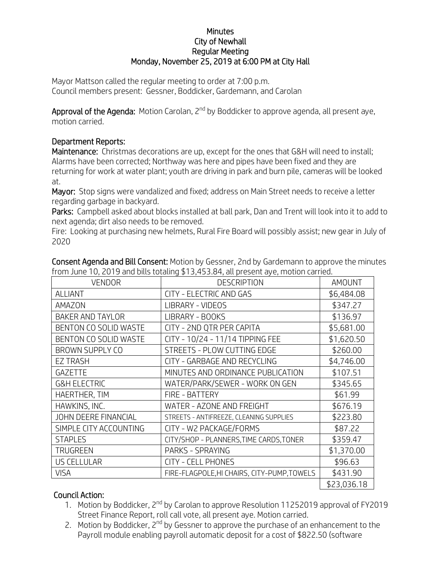## **Minutes** City of Newhall Regular Meeting Monday, November 25, 2019 at 6:00 PM at City Hall

Mayor Mattson called the regular meeting to order at 7:00 p.m. Council members present: Gessner, Boddicker, Gardemann, and Carolan

Approval of the Agenda: Motion Carolan, 2<sup>nd</sup> by Boddicker to approve agenda, all present aye, motion carried.

## Department Reports:

Maintenance: Christmas decorations are up, except for the ones that G&H will need to install; Alarms have been corrected; Northway was here and pipes have been fixed and they are returning for work at water plant; youth are driving in park and burn pile, cameras will be looked at.

Mayor: Stop signs were vandalized and fixed; address on Main Street needs to receive a letter regarding garbage in backyard.

Parks: Campbell asked about blocks installed at ball park, Dan and Trent will look into it to add to next agenda; dirt also needs to be removed.

Fire: Looking at purchasing new helmets, Rural Fire Board will possibly assist; new gear in July of 2020

| <b>VENDOR</b>                | <b>DESCRIPTION</b>                          | AMOUNT      |
|------------------------------|---------------------------------------------|-------------|
| <b>ALLIANT</b>               | CITY - ELECTRIC AND GAS                     | \$6,484.08  |
| AMAZON                       | LIBRARY - VIDEOS                            | \$347.27    |
| <b>BAKER AND TAYLOR</b>      | LIBRARY - BOOKS                             | \$136.97    |
| <b>BENTON CO SOLID WASTE</b> | CITY - 2ND QTR PER CAPITA                   | \$5,681.00  |
| <b>BENTON CO SOLID WASTE</b> | CITY - 10/24 - 11/14 TIPPING FEE            | \$1,620.50  |
| BROWN SUPPLY CO              | STREETS - PLOW CUTTING EDGE                 | \$260.00    |
| <b>EZ TRASH</b>              | CITY - GARBAGE AND RECYCLING                | \$4,746.00  |
| <b>GAZETTE</b>               | MINUTES AND ORDINANCE PUBLICATION           | \$107.51    |
| <b>G&amp;H ELECTRIC</b>      | WATER/PARK/SEWER - WORK ON GEN              | \$345.65    |
| HAERTHER, TIM                | FIRE - BATTERY                              | \$61.99     |
| HAWKINS, INC.                | WATER - AZONE AND FREIGHT                   | \$676.19    |
| <b>JOHN DEERE FINANCIAL</b>  | STREETS - ANTIFREEZE, CLEANING SUPPLIES     | \$223.80    |
| SIMPLE CITY ACCOUNTING       | CITY - W2 PACKAGE/FORMS                     | \$87.22     |
| <b>STAPLES</b>               | CITY/SHOP - PLANNERS, TIME CARDS, TONER     | \$359.47    |
| <b>TRUGREEN</b>              | PARKS - SPRAYING                            | \$1,370.00  |
| <b>US CELLULAR</b>           | <b>CITY - CELL PHONES</b>                   | \$96.63     |
| <b>VISA</b>                  | FIRE-FLAGPOLE, HI CHAIRS, CITY-PUMP, TOWELS | \$431.90    |
|                              |                                             | \$23,036.18 |

Consent Agenda and Bill Consent: Motion by Gessner, 2nd by Gardemann to approve the minutes from June 10, 2019 and bills totaling \$13,453.84, all present aye, motion carried.

## Council Action:

- 1. Motion by Boddicker, 2<sup>nd</sup> by Carolan to approve Resolution 11252019 approval of FY2019 Street Finance Report, roll call vote, all present aye. Motion carried.
- 2. Motion by Boddicker,  $2^{nd}$  by Gessner to approve the purchase of an enhancement to the Payroll module enabling payroll automatic deposit for a cost of \$822.50 (software